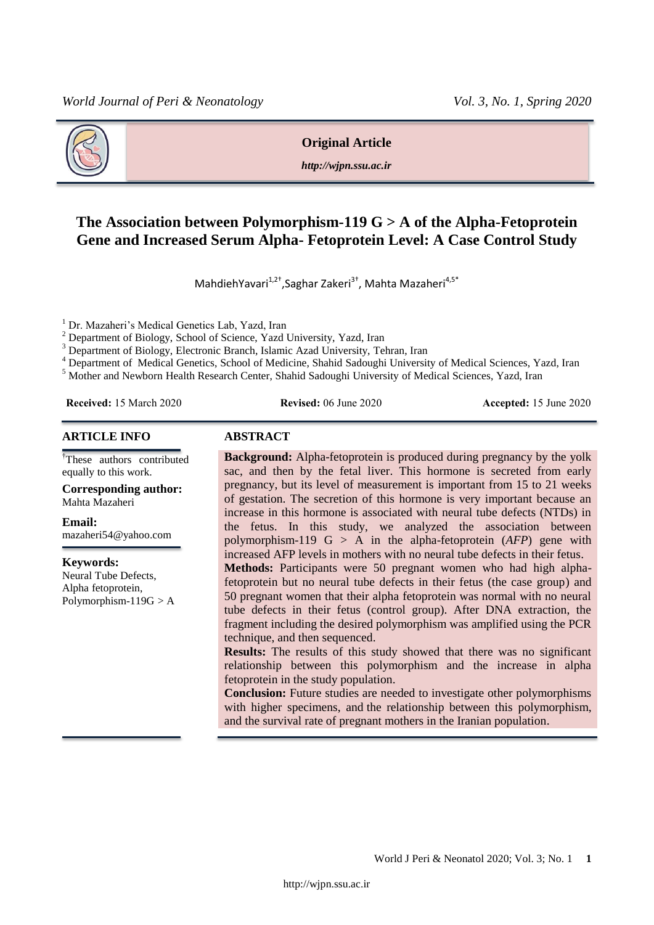

#### **Original Article**

*http://wjpn.ssu.ac.ir*

# **The Association between Polymorphism-119 G > A of the Alpha-Fetoprotein Gene and Increased Serum Alpha- Fetoprotein Level: A Case Control Study**

MahdiehYavari<sup>1,2†</sup>,Saghar Zakeri<sup>3†</sup>, Mahta Mazaheri<sup>4,5\*</sup>

Dr. Mazaheri's Medical Genetics Lab, Yazd, Iran

<sup>2</sup> Department of Biology, School of Science, Yazd University, Yazd, Iran

<sup>3</sup> Department of Biology, Electronic Branch, Islamic Azad University, Tehran, Iran

<sup>4</sup> Department of Medical Genetics, School of Medicine, Shahid Sadoughi University of Medical Sciences, Yazd, Iran

<sup>5</sup> Mother and Newborn Health Research Center, Shahid Sadoughi University of Medical Sciences, Yazd, Iran

**Received:** 15 March 2020 **Revised:** 06 June 2020 **Accepted:** 15 June 2020

#### **ARTICLE INFO ABSTRACT**

†These authors contributed equally to this work.

**Corresponding author:** Mahta Mazaheri

**Email:** 

mazaheri54@yahoo.com

**Keywords:**  Neural Tube Defects, Alpha fetoprotein, Polymorphism- $119G > A$ 

**Background:** Alpha-fetoprotein is produced during pregnancy by the yolk sac, and then by the fetal liver. This hormone is secreted from early pregnancy, but its level of measurement is important from 15 to 21 weeks of gestation. The secretion of this hormone is very important because an increase in this hormone is associated with neural tube defects (NTDs) in the fetus. In this study, we analyzed the association between polymorphism-119 G > A in the alpha-fetoprotein (*AFP*) gene with increased AFP levels in mothers with no neural tube defects in their fetus. **Methods:** Participants were 50 pregnant women who had high alpha-

fetoprotein but no neural tube defects in their fetus (the case group) and 50 pregnant women that their alpha fetoprotein was normal with no neural tube defects in their fetus (control group). After DNA extraction, the fragment including the desired polymorphism was amplified using the PCR technique, and then sequenced.

**Results:** The results of this study showed that there was no significant relationship between this polymorphism and the increase in alpha fetoprotein in the study population.

**Conclusion:** Future studies are needed to investigate other polymorphisms with higher specimens, and the relationship between this polymorphism, and the survival rate of pregnant mothers in the Iranian population.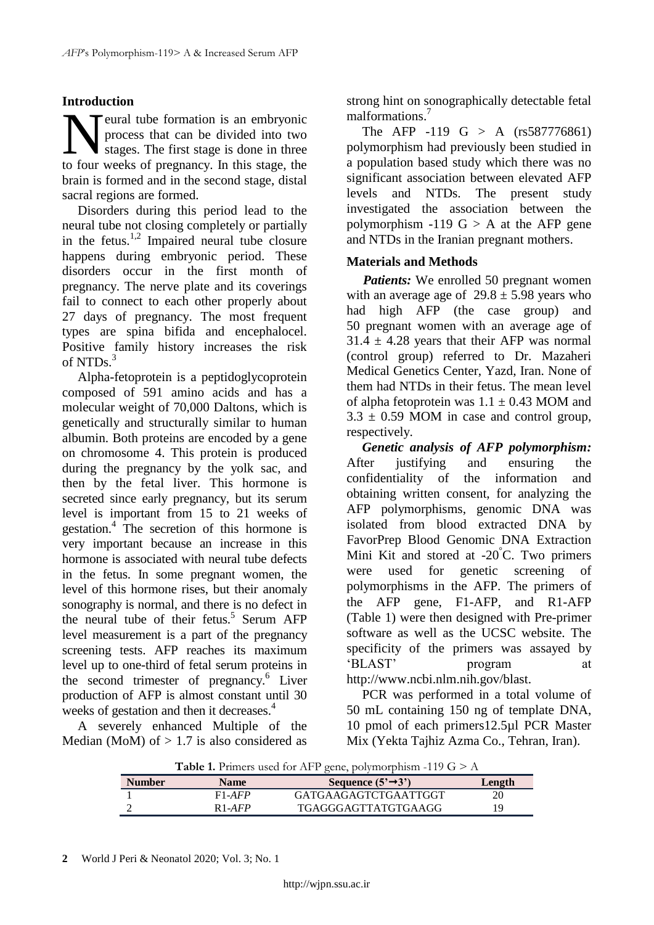## **Introduction**

Teural tube formation is an embryonic process that can be divided into two stages. The first stage is done in three **the formation** is an embryonic process that can be divided into two stages. The first stage is done in three to four weeks of pregnancy. In this stage, the brain is formed and in the second stage, distal sacral regions are formed.

Disorders during this period lead to the neural tube not closing completely or partially in the fetus.<sup>1,2</sup> Impaired neural tube closure happens during embryonic period. These disorders occur in the first month of pregnancy. The nerve plate and its coverings fail to connect to each other properly about 27 days of pregnancy. The most frequent types are spina bifida and encephalocel. Positive family history increases the risk of NTDs.<sup>3</sup>

Alpha-fetoprotein is a peptidoglycoprotein composed of 591 amino acids and has a molecular weight of 70,000 Daltons, which is genetically and structurally similar to human albumin. Both proteins are encoded by a gene on chromosome 4. This protein is produced during the pregnancy by the yolk sac, and then by the fetal liver. This hormone is secreted since early pregnancy, but its serum level is important from 15 to 21 weeks of gestation.<sup>4</sup> The secretion of this hormone is very important because an increase in this hormone is associated with neural tube defects in the fetus. In some pregnant women, the level of this hormone rises, but their anomaly sonography is normal, and there is no defect in the neural tube of their fetus.<sup>5</sup> Serum AFP level measurement is a part of the pregnancy screening tests. AFP reaches its maximum level up to one-third of fetal serum proteins in the second trimester of pregnancy.<sup>6</sup> Liver production of AFP is almost constant until 30 weeks of gestation and then it decreases.<sup>4</sup>

A severely enhanced Multiple of the Median (MoM) of  $> 1.7$  is also considered as

strong hint on sonographically detectable fetal malformations. 7

The AFP -119 G > A  $(rs587776861)$ polymorphism had previously been studied in a population based study which there was no significant association between elevated AFP levels and NTDs. The present study investigated the association between the polymorphism  $-119$  G  $> A$  at the AFP gene and NTDs in the Iranian pregnant mothers.

## **Materials and Methods**

*Patients:* We enrolled 50 pregnant women with an average age of  $29.8 \pm 5.98$  years who had high AFP (the case group) and 50 pregnant women with an average age of  $31.4 \pm 4.28$  years that their AFP was normal (control group) referred to Dr. Mazaheri Medical Genetics Center, Yazd, Iran. None of them had NTDs in their fetus. The mean level of alpha fetoprotein was  $1.1 \pm 0.43$  MOM and  $3.3 \pm 0.59$  MOM in case and control group, respectively.

*Genetic analysis of AFP polymorphism:* After justifying and ensuring the confidentiality of the information and obtaining written consent, for analyzing the AFP polymorphisms, genomic DNA was isolated from blood extracted DNA by FavorPrep Blood Genomic DNA Extraction Mini Kit and stored at -20°C. Two primers were used for genetic screening of polymorphisms in the AFP. The primers of the AFP gene, F1-AFP, and R1-AFP (Table 1) were then designed with Pre-primer software as well as the UCSC website. The specificity of the primers was assayed by 'BLAST' program at [http://www.ncbi.nlm.nih.gov/blast.](http://www.ncbi.nlm.nih.gov/blast)

PCR was performed in a total volume of 50 mL containing 150 ng of template DNA, 10 pmol of each primers12.5µl PCR Master Mix (Yekta Tajhiz Azma Co., Tehran, Iran).

**Table 1.** Primers used for AFP gene, polymorphism -119 G > A

|               | <b>Table 1.</b> Finners ascultor the gene, polymorphism $112 \text{ O} \leq 11$ |                                |        |  |  |
|---------------|---------------------------------------------------------------------------------|--------------------------------|--------|--|--|
| <b>Number</b> | <b>Name</b>                                                                     | Sequence $(5' \rightarrow 3')$ | Length |  |  |
|               | $F1-AFP$                                                                        | GATGAAGAGTCTGAATTGGT           | 20     |  |  |
|               | $R1-AFP$                                                                        | TGAGGGAGTTATGTGAAGG            | 19     |  |  |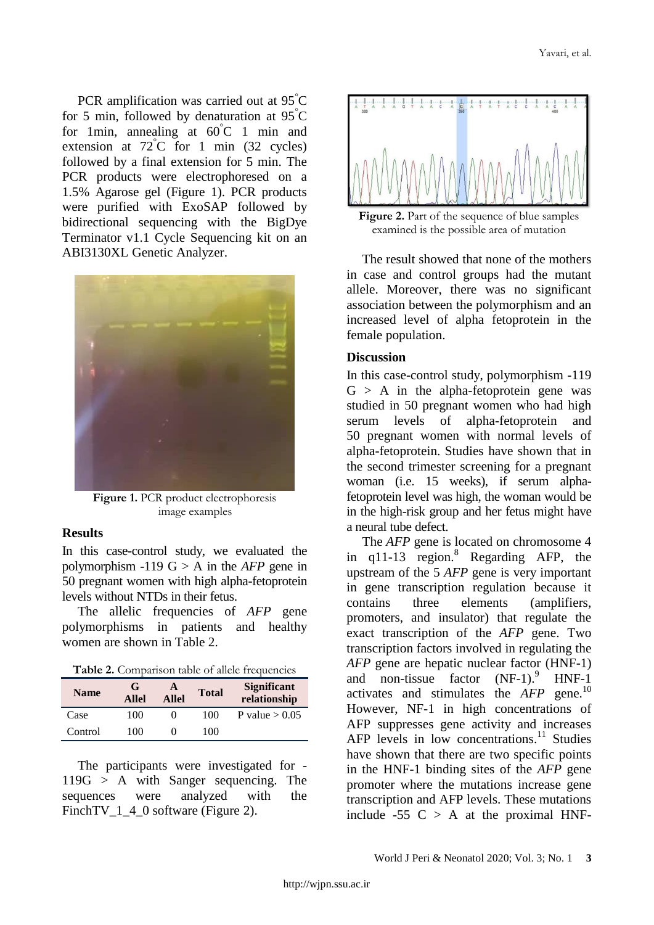PCR amplification was carried out at 95°C for 5 min, followed by denaturation at  $95^{\circ}$ C for 1 min, annealing at  $60^{\circ}$ C 1 min and extension at  $72^{\circ}$ C for 1 min (32 cycles) followed by a final extension for 5 min. The PCR products were electrophoresed on a 1.5% Agarose gel (Figure 1). PCR products were purified with ExoSAP followed by bidirectional sequencing with the BigDye Terminator v1.1 Cycle Sequencing kit on an ABI3130XL Genetic Analyzer.



**Figure 1.** PCR product electrophoresis image examples

### **Results**

In this case-control study, we evaluated the polymorphism  $-119 G > A$  in the *AFP* gene in 50 pregnant women with high alpha-fetoprotein levels without NTDs in their fetus.

The allelic frequencies of *AFP* gene polymorphisms in patients and healthy women are shown in Table 2.

**Table 2.** Comparison table of allele frequencies

| <b>Name</b> | G<br><b>Allel</b> | A<br><b>Allel</b> | <b>Total</b> | <b>Significant</b><br>relationship |
|-------------|-------------------|-------------------|--------------|------------------------------------|
| Case        | 100               |                   | 100          | P value $> 0.05$                   |
| Control     | 100               |                   | 100          |                                    |

The participants were investigated for - 119G > A with Sanger sequencing. The sequences were analyzed with the FinchTV\_1\_4\_0 software (Figure 2).



**Figure 2.** Part of the sequence of blue samples examined is the possible area of mutation

The result showed that none of the mothers in case and control groups had the mutant allele. Moreover, there was no significant association between the polymorphism and an increased level of alpha fetoprotein in the female population.

### **Discussion**

In this case-control study, polymorphism -119  $G > A$  in the alpha-fetoprotein gene was studied in 50 pregnant women who had high serum levels of alpha-fetoprotein and 50 pregnant women with normal levels of alpha-fetoprotein. Studies have shown that in the second trimester screening for a pregnant woman (i.e. 15 weeks), if serum alphafetoprotein level was high, the woman would be in the high-risk group and her fetus might have a neural tube defect.

The *AFP* gene is located on chromosome 4 in q11-13 region. <sup>8</sup> Regarding AFP, the upstream of the 5 *AFP* gene is very important in gene transcription regulation because it contains three elements (amplifiers, promoters, and insulator) that regulate the exact transcription of the *AFP* gene. Two transcription factors involved in regulating the *AFP* gene are hepatic nuclear factor (HNF-1) and non-tissue factor (NF-1).<sup>9</sup> <sup>9</sup> HNF-1 activates and stimulates the *AFP* gene. 10 However, NF-1 in high concentrations of AFP suppresses gene activity and increases AFP levels in low concentrations.<sup>11</sup> Studies have shown that there are two specific points in the HNF-1 binding sites of the *AFP* gene promoter where the mutations increase gene transcription and AFP levels. These mutations include -55  $C > A$  at the proximal HNF-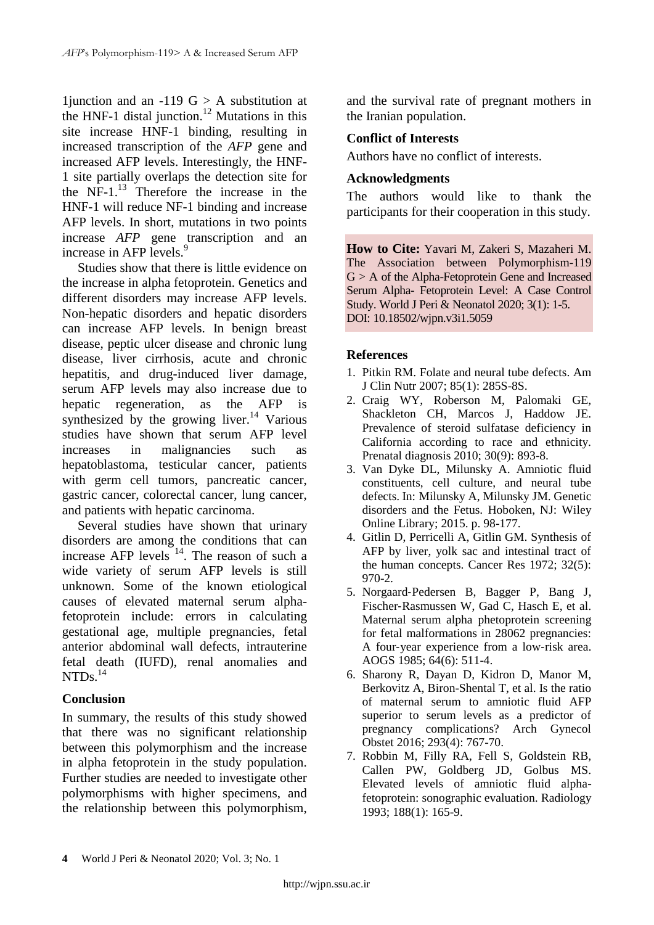1 junction and an -119  $G > A$  substitution at the HNF-1 distal junction. <sup>12</sup> Mutations in this site increase HNF-1 binding, resulting in increased transcription of the *AFP* gene and increased AFP levels. Interestingly, the HNF-1 site partially overlaps the detection site for the NF-1. <sup>13</sup> Therefore the increase in the HNF-1 will reduce NF-1 binding and increase AFP levels. In short, mutations in two points increase *AFP* gene transcription and an increase in AFP levels.<sup>9</sup>

Studies show that there is little evidence on the increase in alpha fetoprotein. Genetics and different disorders may increase AFP levels. Non-hepatic disorders and hepatic disorders can increase AFP levels. In benign breast disease, peptic ulcer disease and chronic lung disease, liver cirrhosis, acute and chronic hepatitis, and drug-induced liver damage, serum AFP levels may also increase due to hepatic regeneration, as the AFP is synthesized by the growing liver.<sup>14</sup> Various studies have shown that serum AFP level increases in malignancies such as hepatoblastoma, testicular cancer, patients with germ cell tumors, pancreatic cancer, gastric cancer, colorectal cancer, lung cancer, and patients with hepatic carcinoma.

Several studies have shown that urinary disorders are among the conditions that can increase AFP levels  $14$ . The reason of such a wide variety of serum AFP levels is still unknown. Some of the known etiological causes of elevated maternal serum alphafetoprotein include: errors in calculating gestational age, multiple pregnancies, fetal anterior abdominal wall defects, intrauterine fetal death (IUFD), renal anomalies and NTDs. 14

# **Conclusion**

In summary, the results of this study showed that there was no significant relationship between this polymorphism and the increase in alpha fetoprotein in the study population. Further studies are needed to investigate other polymorphisms with higher specimens, and the relationship between this polymorphism, and the survival rate of pregnant mothers in the Iranian population.

# **Conflict of Interests**

Authors have no conflict of interests.

## **Acknowledgments**

The authors would like to thank the participants for their cooperation in this study.

**How to Cite:** Yavari M, Zakeri S, Mazaheri M. The Association between Polymorphism-119 G > A of the Alpha-Fetoprotein Gene and Increased Serum Alpha- Fetoprotein Level: A Case Control Study. World J Peri & Neonatol 2020; 3(1): 1-5. DOI: 10.18502/wjpn.v3i1.5059

# **References**

- 1. Pitkin RM. Folate and neural tube defects. Am J Clin Nutr 2007; 85(1): 285S-8S.
- 2. Craig WY, Roberson M, Palomaki GE, Shackleton CH, Marcos J, Haddow JE. Prevalence of steroid sulfatase deficiency in California according to race and ethnicity. Prenatal diagnosis 2010; 30(9): 893-8.
- 3. Van Dyke DL, Milunsky A. Amniotic fluid constituents, cell culture, and neural tube defects. In: [Milunsky](https://onlinelibrary.wiley.com/action/doSearch?ContribAuthorStored=Milunsky%2C+Aubrey) A, [Milunsky](https://onlinelibrary.wiley.com/action/doSearch?ContribAuthorStored=Milunsky%2C+Jeff+M) JM. Genetic disorders and the Fetus. [Hoboken,](https://www.google.com/search?client=firefox-b-d&sxsrf=ALeKk03TMDesxBa0CjqE63jM5U3V-WOKUg:1606816024236&q=Hoboken&stick=H4sIAAAAAAAAAOPgE-LUz9U3MMotLypT4gAxK_LMk7S0spOt9POL0hPzMqsSSzLz81A4VhmpiSmFpYlFJalFxYtY2T3yk_KzU_N2sDICAC-vG35QAAAA&sa=X&ved=2ahUKEwjC7d-SwKztAhW9URUIHUxDDOYQmxMoATAiegQIKRAD) NJ: Wiley Online Library; 2015. p. 98-177.
- 4. Gitlin D, Perricelli A, Gitlin GM. Synthesis of AFP by liver, yolk sac and intestinal tract of the human concepts. Cancer Res 1972; 32(5): 970-2.
- 5. Norgaard‐Pedersen B, Bagger P, Bang J, Fischer‐Rasmussen W, Gad C, Hasch E, et al. Maternal serum alpha phetoprotein screening for fetal malformations in 28062 pregnancies: A four‐year experience from a low‐risk area. AOGS 1985; 64(6): 511-4.
- 6. Sharony R, Dayan D, Kidron D, Manor M, Berkovitz A, Biron-Shental T, et al. Is the ratio of maternal serum to amniotic fluid AFP superior to serum levels as a predictor of pregnancy complications? Arch Gynecol Obstet 2016; 293(4): 767-70.
- 7. Robbin M, Filly RA, Fell S, Goldstein RB, Callen PW, Goldberg JD, Golbus MS. Elevated levels of amniotic fluid alphafetoprotein: sonographic evaluation. Radiology 1993; 188(1): 165-9.

**<sup>4</sup>** World J Peri & Neonatol 2020; Vol. 3; No. 1